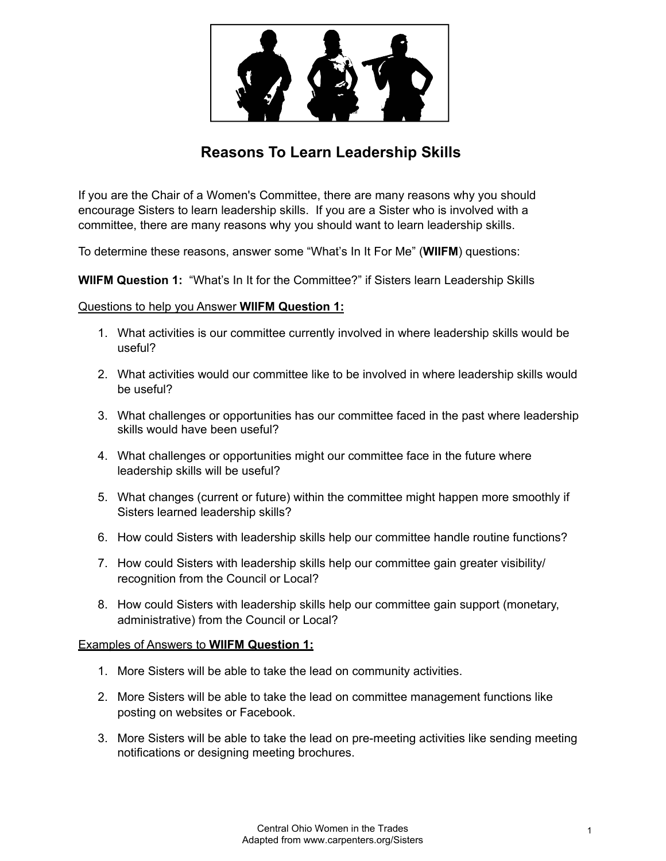

# **Reasons To Learn Leadership Skills**

If you are the Chair of a Women's Committee, there are many reasons why you should encourage Sisters to learn leadership skills. If you are a Sister who is involved with a committee, there are many reasons why you should want to learn leadership skills.

To determine these reasons, answer some "What's In It For Me" (**WIIFM**) questions:

**WIIFM Question 1:** "What's In It for the Committee?" if Sisters learn Leadership Skills

### Questions to help you Answer **WIIFM Question 1:**

- 1. What activities is our committee currently involved in where leadership skills would be useful?
- 2. What activities would our committee like to be involved in where leadership skills would be useful?
- 3. What challenges or opportunities has our committee faced in the past where leadership skills would have been useful?
- 4. What challenges or opportunities might our committee face in the future where leadership skills will be useful?
- 5. What changes (current or future) within the committee might happen more smoothly if Sisters learned leadership skills?
- 6. How could Sisters with leadership skills help our committee handle routine functions?
- 7. How could Sisters with leadership skills help our committee gain greater visibility/ recognition from the Council or Local?
- 8. How could Sisters with leadership skills help our committee gain support (monetary, administrative) from the Council or Local?

#### Examples of Answers to **WIIFM Question 1:**

- 1. More Sisters will be able to take the lead on community activities.
- 2. More Sisters will be able to take the lead on committee management functions like posting on websites or Facebook.
- 3. More Sisters will be able to take the lead on pre-meeting activities like sending meeting notifications or designing meeting brochures.